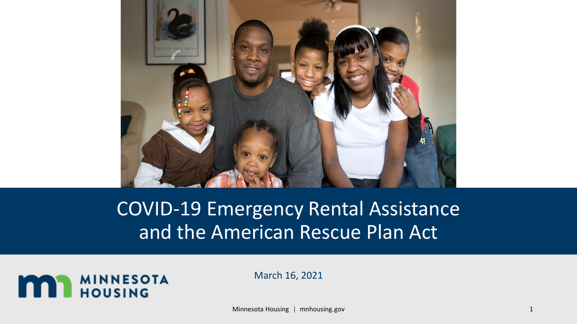

## COVID-19 Emergency Rental Assistance and the American Rescue Plan Act



March 16, 2021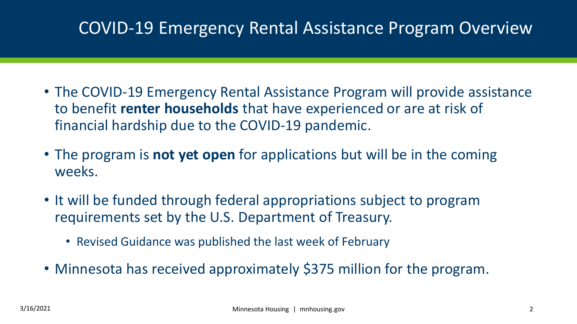#### COVID-19 Emergency Rental Assistance Program Overview

- The COVID-19 Emergency Rental Assistance Program will provide assistance to benefit **renter households** that have experienced or are at risk of financial hardship due to the COVID-19 pandemic.
- The program is **not yet open** for applications but will be in the coming weeks.
- It will be funded through federal appropriations subject to program requirements set by the U.S. Department of Treasury.
	- Revised Guidance was published the last week of February
- Minnesota has received approximately \$375 million for the program.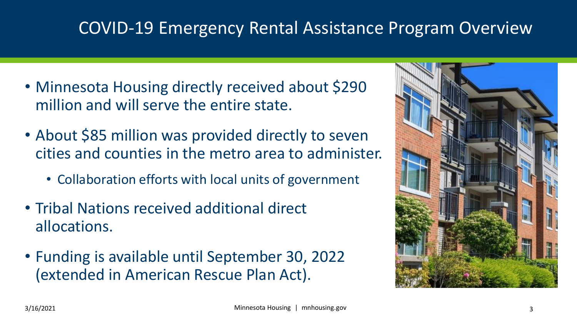#### COVID-19 Emergency Rental Assistance Program Overview

- Minnesota Housing directly received about \$290 million and will serve the entire state.
- About \$85 million was provided directly to seven cities and counties in the metro area to administer.
	- Collaboration efforts with local units of government
- Tribal Nations received additional direct allocations.
- Funding is available until September 30, 2022 (extended in American Rescue Plan Act).

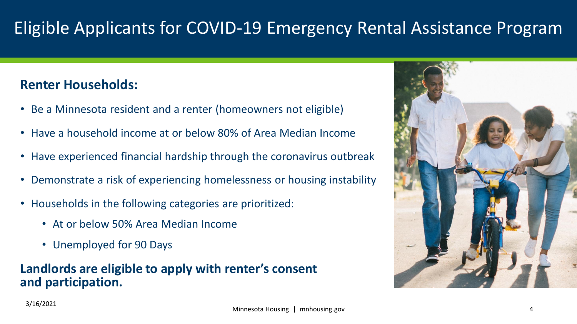### Eligible Applicants for COVID-19 Emergency Rental Assistance Program

#### **Renter Households:**

- Be a Minnesota resident and a renter (homeowners not eligible)
- Have a household income at or below 80% of Area Median Income
- Have experienced financial hardship through the coronavirus outbreak
- Demonstrate a risk of experiencing homelessness or housing instability
- Households in the following categories are prioritized:
	- At or below 50% Area Median Income
	- Unemployed for 90 Days

#### **Landlords are eligible to apply with renter's consent and participation.**

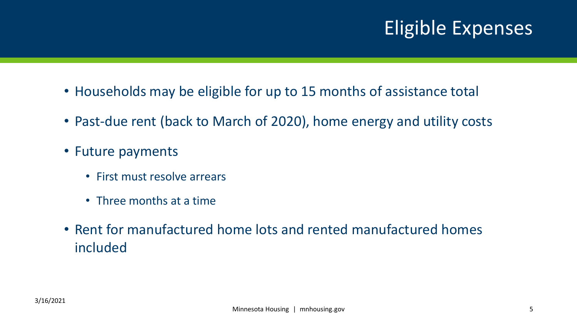# Eligible Expenses

- Households may be eligible for up to 15 months of assistance total
- Past-due rent (back to March of 2020), home energy and utility costs
- Future payments
	- First must resolve arrears
	- Three months at a time
- Rent for manufactured home lots and rented manufactured homes included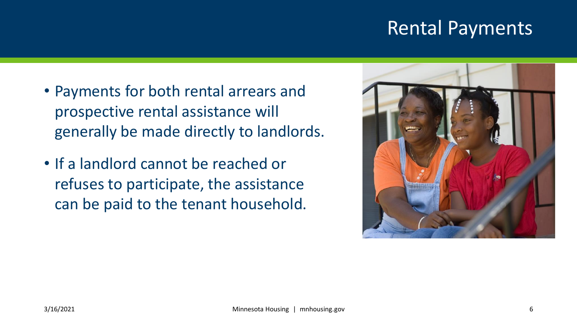### Rental Payments

- Payments for both rental arrears and prospective rental assistance will generally be made directly to landlords.
- If a landlord cannot be reached or refuses to participate, the assistance can be paid to the tenant household.

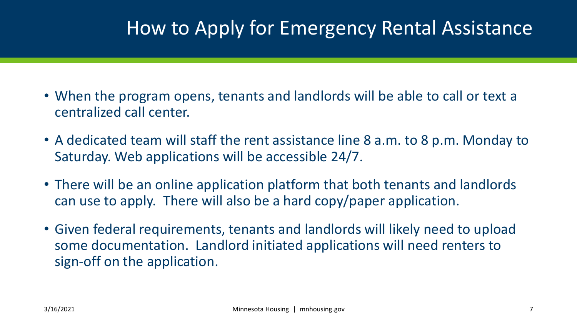## How to Apply for Emergency Rental Assistance

- When the program opens, tenants and landlords will be able to call or text a centralized call center.
- A dedicated team will staff the rent assistance line 8 a.m. to 8 p.m. Monday to Saturday. Web applications will be accessible 24/7.
- There will be an online application platform that both tenants and landlords can use to apply. There will also be a hard copy/paper application.
- Given federal requirements, tenants and landlords will likely need to upload some documentation. Landlord initiated applications will need renters to sign-off on the application.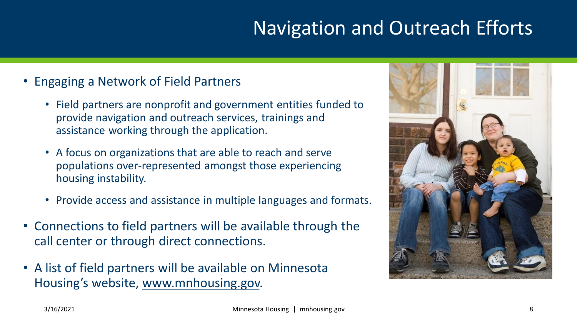# Navigation and Outreach Efforts

- Engaging a Network of Field Partners
	- Field partners are nonprofit and government entities funded to provide navigation and outreach services, trainings and assistance working through the application.
	- A focus on organizations that are able to reach and serve populations over-represented amongst those experiencing housing instability.
	- Provide access and assistance in multiple languages and formats.
- Connections to field partners will be available through the call center or through direct connections.
- A list of field partners will be available on Minnesota Housing's website, www.mnhousing.gov.

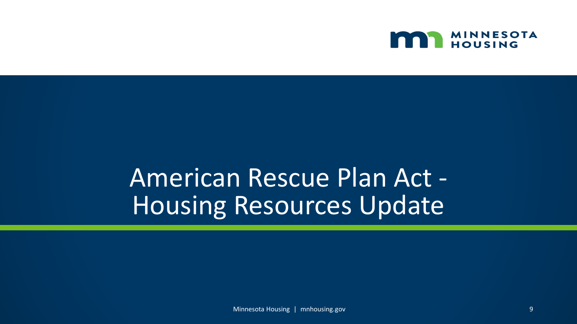

# American Rescue Plan Act - Housing Resources Update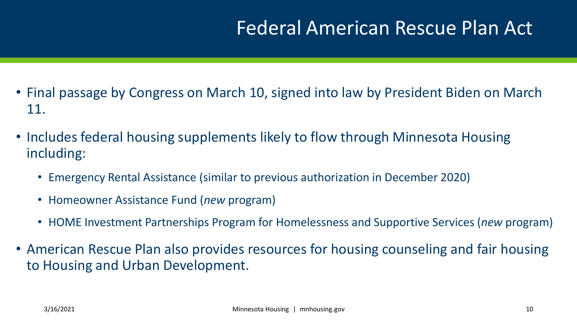## Federal American Rescue Plan Act

- Final passage by Congress on March 10, signed into law by President Biden on March 11.
- Includes federal housing supplements likely to flow through Minnesota Housing including:
	- Emergency Rental Assistance (similar to previous authorization in December 2020)
	- Homeowner Assistance Fund (*new* program)
	- HOME Investment Partnerships Program for Homelessness and Supportive Services (*new* program)
- American Rescue Plan also provides resources for housing counseling and fair housing to Housing and Urban Development.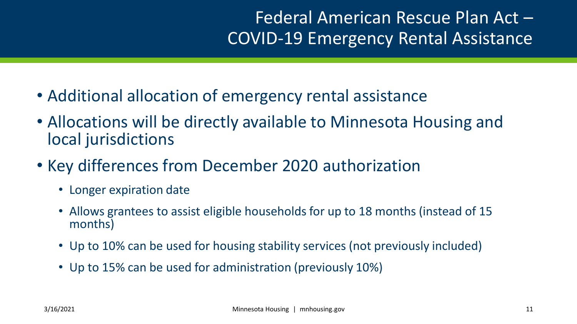#### Federal American Rescue Plan Act – COVID-19 Emergency Rental Assistance

- Additional allocation of emergency rental assistance
- Allocations will be directly available to Minnesota Housing and local jurisdictions
- Key differences from December 2020 authorization
	- Longer expiration date
	- Allows grantees to assist eligible households for up to 18 months (instead of 15 months)
	- Up to 10% can be used for housing stability services (not previously included)
	- Up to 15% can be used for administration (previously 10%)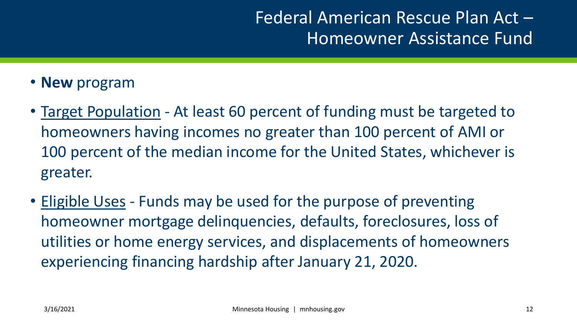#### Federal American Rescue Plan Act – Homeowner Assistance Fund

- **New** program
- Target Population At least 60 percent of funding must be targeted to homeowners having incomes no greater than 100 percent of AMI or 100 percent of the median income for the United States, whichever is greater.
- Eligible Uses Funds may be used for the purpose of preventing homeowner mortgage delinquencies, defaults, foreclosures, loss of utilities or home energy services, and displacements of homeowners experiencing financing hardship after January 21, 2020.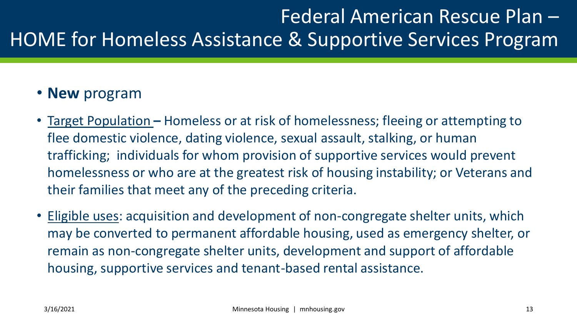# Federal American Rescue Plan – HOME for Homeless Assistance & Supportive Services Program

#### • **New** program

- Target Population **–** Homeless or at risk of homelessness; fleeing or attempting to flee domestic violence, dating violence, sexual assault, stalking, or human trafficking; individuals for whom provision of supportive services would prevent homelessness or who are at the greatest risk of housing instability; or Veterans and their families that meet any of the preceding criteria.
- Eligible uses: acquisition and development of non-congregate shelter units, which may be converted to permanent affordable housing, used as emergency shelter, or remain as non-congregate shelter units, development and support of affordable housing, supportive services and tenant-based rental assistance.